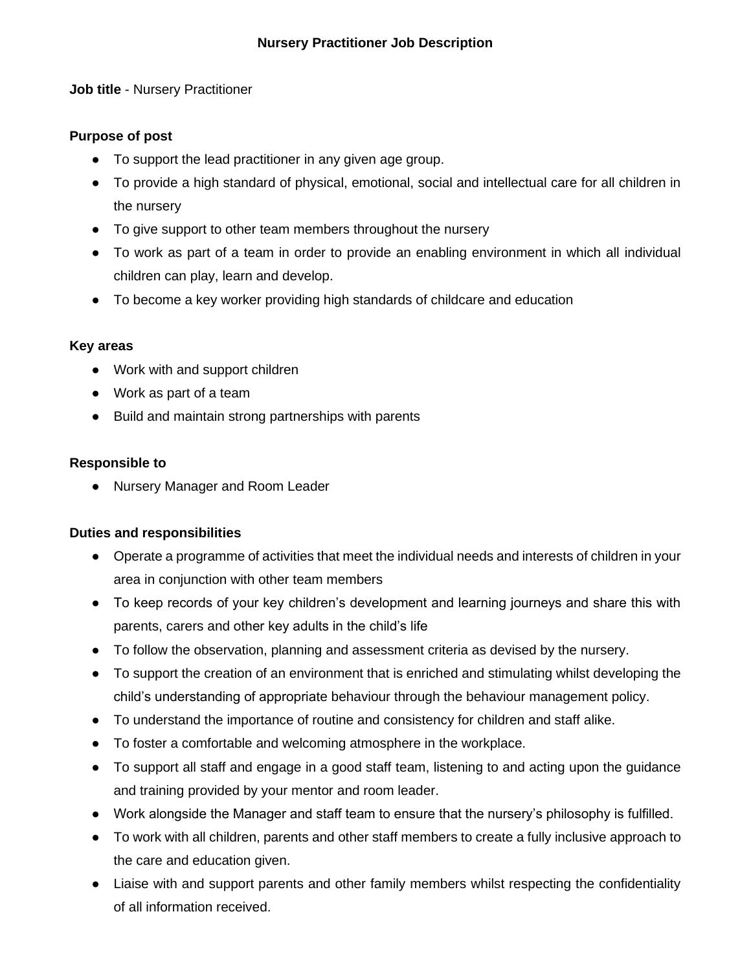**Job title** - Nursery Practitioner

### **Purpose of post**

- To support the lead practitioner in any given age group.
- To provide a high standard of physical, emotional, social and intellectual care for all children in the nursery
- To give support to other team members throughout the nursery
- To work as part of a team in order to provide an enabling environment in which all individual children can play, learn and develop.
- To become a key worker providing high standards of childcare and education

#### **Key areas**

- Work with and support children
- Work as part of a team
- Build and maintain strong partnerships with parents

#### **Responsible to**

● Nursery Manager and Room Leader

## **Duties and responsibilities**

- Operate a programme of activities that meet the individual needs and interests of children in your area in conjunction with other team members
- To keep records of your key children's development and learning journeys and share this with parents, carers and other key adults in the child's life
- To follow the observation, planning and assessment criteria as devised by the nursery.
- To support the creation of an environment that is enriched and stimulating whilst developing the child's understanding of appropriate behaviour through the behaviour management policy.
- To understand the importance of routine and consistency for children and staff alike.
- To foster a comfortable and welcoming atmosphere in the workplace.
- To support all staff and engage in a good staff team, listening to and acting upon the guidance and training provided by your mentor and room leader.
- Work alongside the Manager and staff team to ensure that the nursery's philosophy is fulfilled.
- To work with all children, parents and other staff members to create a fully inclusive approach to the care and education given.
- Liaise with and support parents and other family members whilst respecting the confidentiality of all information received.